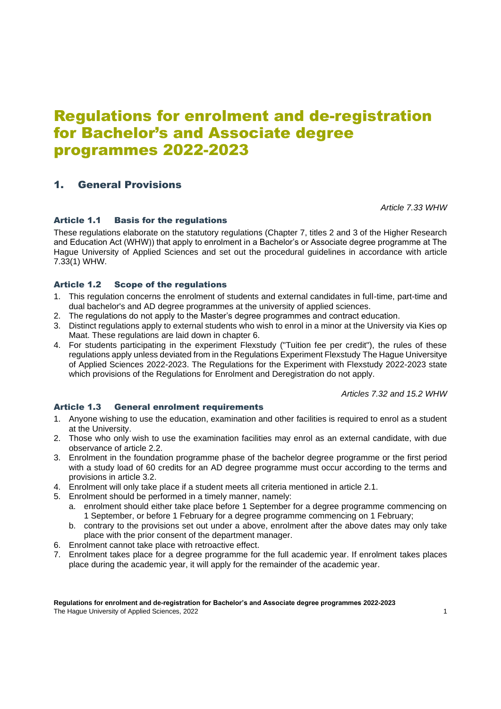# Regulations for enrolment and de-registration for Bachelor's and Associate degree programmes 2022-2023

# 1. General Provisions

*Article 7.33 WHW*

# Article 1.1 Basis for the regulations

These regulations elaborate on the statutory regulations (Chapter 7, titles 2 and 3 of the Higher Research and Education Act (WHW)) that apply to enrolment in a Bachelor's or Associate degree programme at The Hague University of Applied Sciences and set out the procedural guidelines in accordance with article 7.33(1) WHW.

### Article 1.2 Scope of the regulations

- 1. This regulation concerns the enrolment of students and external candidates in full-time, part-time and dual bachelor's and AD degree programmes at the university of applied sciences.
- 2. The regulations do not apply to the Master's degree programmes and contract education.
- 3. Distinct regulations apply to external students who wish to enrol in a minor at the University via Kies op Maat. These regulations are laid down in chapter 6.
- 4. For students participating in the experiment Flexstudy ("Tuition fee per credit"), the rules of these regulations apply unless deviated from in the Regulations Experiment Flexstudy The Hague Universitye of Applied Sciences 2022-2023. The Regulations for the Experiment with Flexstudy 2022-2023 state which provisions of the Regulations for Enrolment and Deregistration do not apply.

*Articles 7.32 and 15.2 WHW*

# Article 1.3 General enrolment requirements

- 1. Anyone wishing to use the education, examination and other facilities is required to enrol as a student at the University.
- 2. Those who only wish to use the examination facilities may enrol as an external candidate, with due observance of article 2.2.
- 3. Enrolment in the foundation programme phase of the bachelor degree programme or the first period with a study load of 60 credits for an AD degree programme must occur according to the terms and provisions in article 3.2.
- 4. Enrolment will only take place if a student meets all criteria mentioned in article 2.1.
- 5. Enrolment should be performed in a timely manner, namely:
	- a. enrolment should either take place before 1 September for a degree programme commencing on 1 September, or before 1 February for a degree programme commencing on 1 February;
	- b. contrary to the provisions set out under a above, enrolment after the above dates may only take place with the prior consent of the department manager.
- 6. Enrolment cannot take place with retroactive effect.
- 7. Enrolment takes place for a degree programme for the full academic year. If enrolment takes places place during the academic year, it will apply for the remainder of the academic year.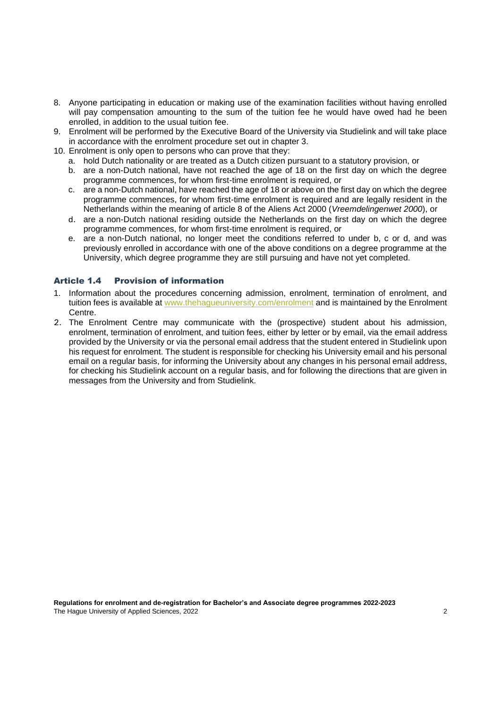- 8. Anyone participating in education or making use of the examination facilities without having enrolled will pay compensation amounting to the sum of the tuition fee he would have owed had he been enrolled, in addition to the usual tuition fee.
- 9. Enrolment will be performed by the Executive Board of the University via Studielink and will take place in accordance with the enrolment procedure set out in chapter 3.
- 10. Enrolment is only open to persons who can prove that they:
	- a. hold Dutch nationality or are treated as a Dutch citizen pursuant to a statutory provision, or
	- b. are a non-Dutch national, have not reached the age of 18 on the first day on which the degree programme commences, for whom first-time enrolment is required, or
	- c. are a non-Dutch national, have reached the age of 18 or above on the first day on which the degree programme commences, for whom first-time enrolment is required and are legally resident in the Netherlands within the meaning of article 8 of the Aliens Act 2000 (*Vreemdelingenwet 2000*), or
	- d. are a non-Dutch national residing outside the Netherlands on the first day on which the degree programme commences, for whom first-time enrolment is required, or
	- e. are a non-Dutch national, no longer meet the conditions referred to under b, c or d, and was previously enrolled in accordance with one of the above conditions on a degree programme at the University, which degree programme they are still pursuing and have not yet completed.

#### Article 1.4 Provision of information

- 1. Information about the procedures concerning admission, enrolment, termination of enrolment, and tuition fees is available at [www.thehagueuniversity.com/enrolment](http://www.hhs.nl/inschrijving) and is maintained by the Enrolment Centre.
- 2. The Enrolment Centre may communicate with the (prospective) student about his admission, enrolment, termination of enrolment, and tuition fees, either by letter or by email, via the email address provided by the University or via the personal email address that the student entered in Studielink upon his request for enrolment. The student is responsible for checking his University email and his personal email on a regular basis, for informing the University about any changes in his personal email address, for checking his Studielink account on a regular basis, and for following the directions that are given in messages from the University and from Studielink.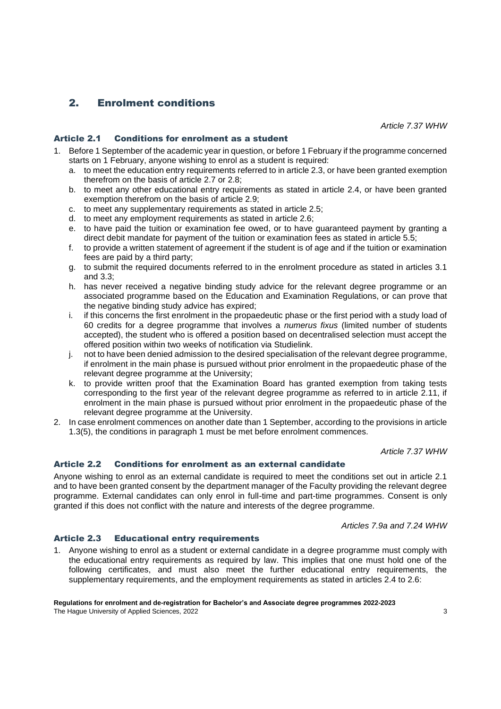# 2. Enrolment conditions

*Article 7.37 WHW*

#### Article 2.1 Conditions for enrolment as a student

- 1. Before 1 September of the academic year in question, or before 1 February if the programme concerned starts on 1 February, anyone wishing to enrol as a student is required:
	- a. to meet the education entry requirements referred to in article 2.3, or have been granted exemption therefrom on the basis of article 2.7 or 2.8;
	- b. to meet any other educational entry requirements as stated in article 2.4, or have been granted exemption therefrom on the basis of article 2.9;
	- c. to meet any supplementary requirements as stated in article 2.5;
	- d. to meet any employment requirements as stated in article 2.6;
	- e. to have paid the tuition or examination fee owed, or to have guaranteed payment by granting a direct debit mandate for payment of the tuition or examination fees as stated in article 5.5;
	- f. to provide a written statement of agreement if the student is of age and if the tuition or examination fees are paid by a third party;
	- g. to submit the required documents referred to in the enrolment procedure as stated in articles 3.1 and 3.3;
	- h. has never received a negative binding study advice for the relevant degree programme or an associated programme based on the Education and Examination Regulations, or can prove that the negative binding study advice has expired;
	- i. if this concerns the first enrolment in the propaedeutic phase or the first period with a study load of 60 credits for a degree programme that involves a *numerus fixus* (limited number of students accepted), the student who is offered a position based on decentralised selection must accept the offered position within two weeks of notification via Studielink.
	- j. not to have been denied admission to the desired specialisation of the relevant degree programme, if enrolment in the main phase is pursued without prior enrolment in the propaedeutic phase of the relevant degree programme at the University;
	- k. to provide written proof that the Examination Board has granted exemption from taking tests corresponding to the first year of the relevant degree programme as referred to in article 2.11, if enrolment in the main phase is pursued without prior enrolment in the propaedeutic phase of the relevant degree programme at the University.
- 2. In case enrolment commences on another date than 1 September, according to the provisions in article 1.3(5), the conditions in paragraph 1 must be met before enrolment commences.

#### *Article 7.37 WHW*

#### Article 2.2 Conditions for enrolment as an external candidate

Anyone wishing to enrol as an external candidate is required to meet the conditions set out in article 2.1 and to have been granted consent by the department manager of the Faculty providing the relevant degree programme. External candidates can only enrol in full-time and part-time programmes. Consent is only granted if this does not conflict with the nature and interests of the degree programme.

*Articles 7.9a and 7.24 WHW*

#### Article 2.3 Educational entry requirements

1. Anyone wishing to enrol as a student or external candidate in a degree programme must comply with the educational entry requirements as required by law. This implies that one must hold one of the following certificates, and must also meet the further educational entry requirements, the supplementary requirements, and the employment requirements as stated in articles 2.4 to 2.6: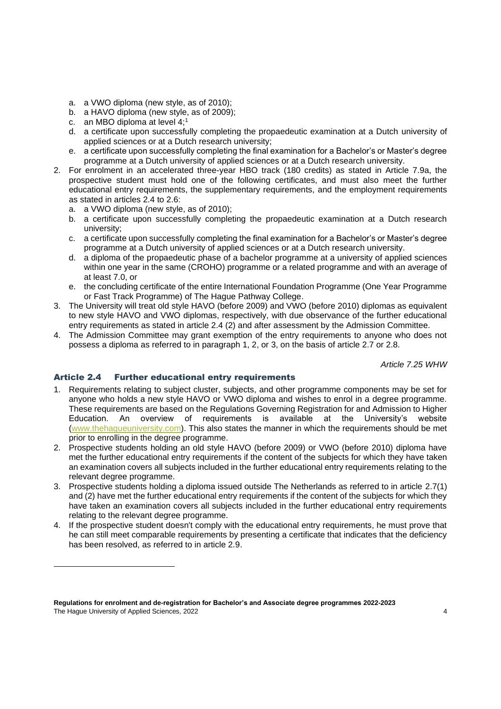- a. a VWO diploma (new style, as of 2010);
- b. a HAVO diploma (new style, as of 2009);
- c. an MBO diploma at level 4;<sup>1</sup>
- d. a certificate upon successfully completing the propaedeutic examination at a Dutch university of applied sciences or at a Dutch research university;
- e. a certificate upon successfully completing the final examination for a Bachelor's or Master's degree programme at a Dutch university of applied sciences or at a Dutch research university.
- 2. For enrolment in an accelerated three-year HBO track (180 credits) as stated in Article 7.9a, the prospective student must hold one of the following certificates, and must also meet the further educational entry requirements, the supplementary requirements, and the employment requirements as stated in articles 2.4 to 2.6:
	- a. a VWO diploma (new style, as of 2010);
	- b. a certificate upon successfully completing the propaedeutic examination at a Dutch research university;
	- c. a certificate upon successfully completing the final examination for a Bachelor's or Master's degree programme at a Dutch university of applied sciences or at a Dutch research university.
	- d. a diploma of the propaedeutic phase of a bachelor programme at a university of applied sciences within one year in the same (CROHO) programme or a related programme and with an average of at least 7.0, or
	- e. the concluding certificate of the entire International Foundation Programme (One Year Programme or Fast Track Programme) of The Hague Pathway College.
- 3. The University will treat old style HAVO (before 2009) and VWO (before 2010) diplomas as equivalent to new style HAVO and VWO diplomas, respectively, with due observance of the further educational entry requirements as stated in article 2.4 (2) and after assessment by the Admission Committee.
- 4. The Admission Committee may grant exemption of the entry requirements to anyone who does not possess a diploma as referred to in paragraph 1, 2, or 3, on the basis of article 2.7 or 2.8.

*Article 7.25 WHW*

### Article 2.4 Further educational entry requirements

- 1. Requirements relating to subject cluster, subjects, and other programme components may be set for anyone who holds a new style HAVO or VWO diploma and wishes to enrol in a degree programme. These requirements are based on the Regulations Governing Registration for and Admission to Higher Education. An overview of requirements is available at the University's website [\(www.thehagueuniversity.com\)](http://www.hhs.nl/). This also states the manner in which the requirements should be met prior to enrolling in the degree programme.
- 2. Prospective students holding an old style HAVO (before 2009) or VWO (before 2010) diploma have met the further educational entry requirements if the content of the subjects for which they have taken an examination covers all subjects included in the further educational entry requirements relating to the relevant degree programme.
- 3. Prospective students holding a diploma issued outside The Netherlands as referred to in article 2.7(1) and (2) have met the further educational entry requirements if the content of the subjects for which they have taken an examination covers all subjects included in the further educational entry requirements relating to the relevant degree programme.
- 4. If the prospective student doesn't comply with the educational entry requirements, he must prove that he can still meet comparable requirements by presenting a certificate that indicates that the deficiency has been resolved, as referred to in article 2.9.

**Regulations for enrolment and de-registration for Bachelor's and Associate degree programmes 2022-2023** The Hague University of Applied Sciences, 2022 46 Applied Sciences, 2022 4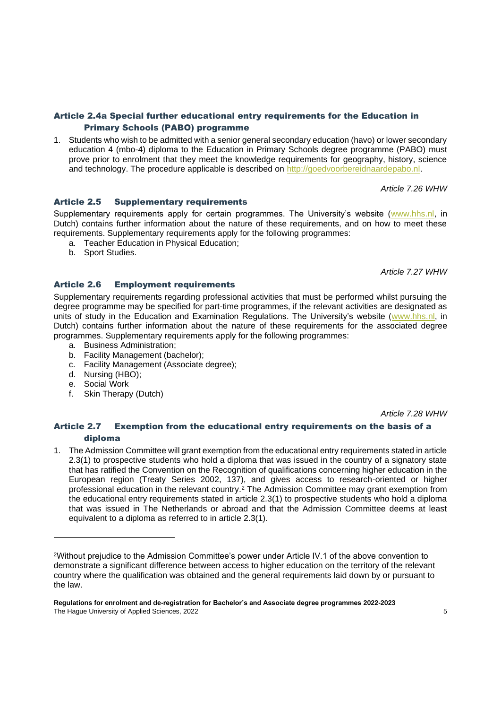#### Article 2.4a Special further educational entry requirements for the Education in Primary Schools (PABO) programme

1. Students who wish to be admitted with a senior general secondary education (havo) or lower secondary education 4 (mbo-4) diploma to the Education in Primary Schools degree programme (PABO) must prove prior to enrolment that they meet the knowledge requirements for geography, history, science and technology. The procedure applicable is described on [http://goedvoorbereidnaardepabo.nl.](http://goedvoorbereidnaardepabo.nl/)

*Article 7.26 WHW*

#### Article 2.5 Supplementary requirements

Supplementary requirements apply for certain programmes. The University's website [\(www.hhs.nl,](http://www.hhs.nl/) in Dutch) contains further information about the nature of these requirements, and on how to meet these requirements. Supplementary requirements apply for the following programmes:

- a. Teacher Education in Physical Education;
- b. Sport Studies.

*Article 7.27 WHW*

#### Article 2.6 Employment requirements

Supplementary requirements regarding professional activities that must be performed whilst pursuing the degree programme may be specified for part-time programmes, if the relevant activities are designated as units of study in the Education and Examination Regulations. The University's website [\(www.hhs.nl,](http://www.hhs.nl/) in Dutch) contains further information about the nature of these requirements for the associated degree programmes. Supplementary requirements apply for the following programmes:

- a. Business Administration;
- b. Facility Management (bachelor);
- c. Facility Management (Associate degree);
- d. Nursing (HBO);
- e. Social Work
- f. Skin Therapy (Dutch)

*Article 7.28 WHW*

#### Article 2.7 Exemption from the educational entry requirements on the basis of a diploma

1. The Admission Committee will grant exemption from the educational entry requirements stated in article 2.3(1) to prospective students who hold a diploma that was issued in the country of a signatory state that has ratified the Convention on the Recognition of qualifications concerning higher education in the European region (Treaty Series 2002, 137), and gives access to research-oriented or higher professional education in the relevant country.<sup>2</sup> The Admission Committee may grant exemption from the educational entry requirements stated in article 2.3(1) to prospective students who hold a diploma that was issued in The Netherlands or abroad and that the Admission Committee deems at least equivalent to a diploma as referred to in article 2.3(1).

<sup>2</sup>Without prejudice to the Admission Committee's power under Article IV.1 of the above convention to demonstrate a significant difference between access to higher education on the territory of the relevant country where the qualification was obtained and the general requirements laid down by or pursuant to the law.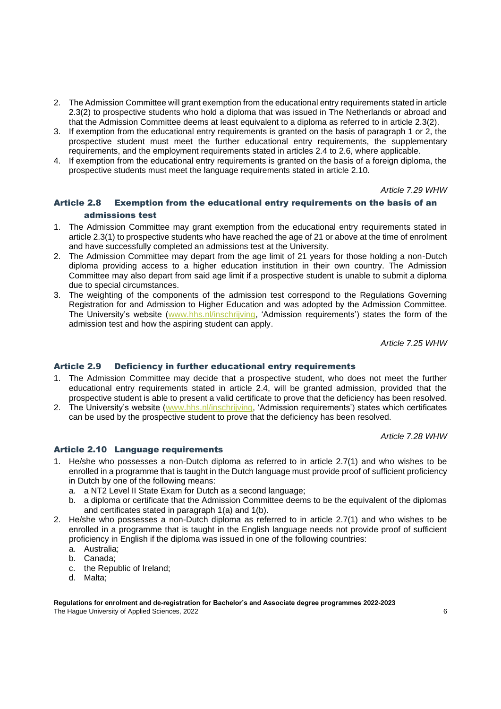- 2. The Admission Committee will grant exemption from the educational entry requirements stated in article 2.3(2) to prospective students who hold a diploma that was issued in The Netherlands or abroad and that the Admission Committee deems at least equivalent to a diploma as referred to in article 2.3(2).
- 3. If exemption from the educational entry requirements is granted on the basis of paragraph 1 or 2, the prospective student must meet the further educational entry requirements, the supplementary requirements, and the employment requirements stated in articles 2.4 to 2.6, where applicable.
- 4. If exemption from the educational entry requirements is granted on the basis of a foreign diploma, the prospective students must meet the language requirements stated in article 2.10.

#### *Article 7.29 WHW*

### Article 2.8 Exemption from the educational entry requirements on the basis of an admissions test

- 1. The Admission Committee may grant exemption from the educational entry requirements stated in article 2.3(1) to prospective students who have reached the age of 21 or above at the time of enrolment and have successfully completed an admissions test at the University.
- 2. The Admission Committee may depart from the age limit of 21 years for those holding a non-Dutch diploma providing access to a higher education institution in their own country. The Admission Committee may also depart from said age limit if a prospective student is unable to submit a diploma due to special circumstances.
- 3. The weighting of the components of the admission test correspond to the Regulations Governing Registration for and Admission to Higher Education and was adopted by the Admission Committee. The University's website [\(www.hhs.nl/inschrijving,](http://www.hhs.nl/inschrijving) 'Admission requirements') states the form of the admission test and how the aspiring student can apply.

*Article 7.25 WHW*

#### Article 2.9 Deficiency in further educational entry requirements

- 1. The Admission Committee may decide that a prospective student, who does not meet the further educational entry requirements stated in article 2.4, will be granted admission, provided that the prospective student is able to present a valid certificate to prove that the deficiency has been resolved.
- 2. The University's website [\(www.hhs.nl/inschrijving,](http://www.hhs.nl/inschrijving) 'Admission requirements') states which certificates can be used by the prospective student to prove that the deficiency has been resolved.

*Article 7.28 WHW*

#### Article 2.10 Language requirements

- 1. He/she who possesses a non-Dutch diploma as referred to in article 2.7(1) and who wishes to be enrolled in a programme that is taught in the Dutch language must provide proof of sufficient proficiency in Dutch by one of the following means:
	- a. a NT2 Level II State Exam for Dutch as a second language;
	- b. a diploma or certificate that the Admission Committee deems to be the equivalent of the diplomas and certificates stated in paragraph 1(a) and 1(b).
- 2. He/she who possesses a non-Dutch diploma as referred to in article 2.7(1) and who wishes to be enrolled in a programme that is taught in the English language needs not provide proof of sufficient proficiency in English if the diploma was issued in one of the following countries:
	- a. Australia;
	- b. Canada;
	- c. the Republic of Ireland;
	- d. Malta;

**Regulations for enrolment and de-registration for Bachelor's and Associate degree programmes 2022-2023** The Hague University of Applied Sciences, 2022 6 and the University of Applied Sciences, 2022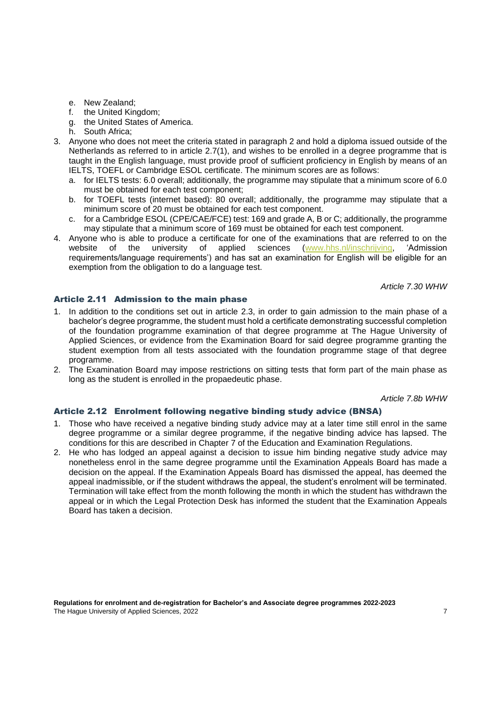- e. New Zealand;
- f. the United Kingdom;
- g. the United States of America.
- h. South Africa;
- 3. Anyone who does not meet the criteria stated in paragraph 2 and hold a diploma issued outside of the Netherlands as referred to in article 2.7(1), and wishes to be enrolled in a degree programme that is taught in the English language, must provide proof of sufficient proficiency in English by means of an IELTS, TOEFL or Cambridge ESOL certificate. The minimum scores are as follows:
	- a. for IELTS tests: 6.0 overall; additionally, the programme may stipulate that a minimum score of 6.0 must be obtained for each test component;
	- b. for TOEFL tests (internet based): 80 overall; additionally, the programme may stipulate that a minimum score of 20 must be obtained for each test component.
	- c. for a Cambridge ESOL (CPE/CAE/FCE) test: 169 and grade A, B or C; additionally, the programme may stipulate that a minimum score of 169 must be obtained for each test component.
- 4. Anyone who is able to produce a certificate for one of the examinations that are referred to on the website of the university of applied sciences [\(www.hhs.nl/inschrijving,](http://www.hhs.nl/inschrijving) 'Admission requirements/language requirements') and has sat an examination for English will be eligible for an exemption from the obligation to do a language test.

*Article 7.30 WHW*

#### Article 2.11 Admission to the main phase

- 1. In addition to the conditions set out in article 2.3, in order to gain admission to the main phase of a bachelor's degree programme, the student must hold a certificate demonstrating successful completion of the foundation programme examination of that degree programme at The Hague University of Applied Sciences, or evidence from the Examination Board for said degree programme granting the student exemption from all tests associated with the foundation programme stage of that degree programme.
- 2. The Examination Board may impose restrictions on sitting tests that form part of the main phase as long as the student is enrolled in the propaedeutic phase.

*Article 7.8b WHW*

### Article 2.12 Enrolment following negative binding study advice (BNSA)

- 1. Those who have received a negative binding study advice may at a later time still enrol in the same degree programme or a similar degree programme, if the negative binding advice has lapsed. The conditions for this are described in Chapter 7 of the Education and Examination Regulations.
- 2. He who has lodged an appeal against a decision to issue him binding negative study advice may nonetheless enrol in the same degree programme until the Examination Appeals Board has made a decision on the appeal. If the Examination Appeals Board has dismissed the appeal, has deemed the appeal inadmissible, or if the student withdraws the appeal, the student's enrolment will be terminated. Termination will take effect from the month following the month in which the student has withdrawn the appeal or in which the Legal Protection Desk has informed the student that the Examination Appeals Board has taken a decision.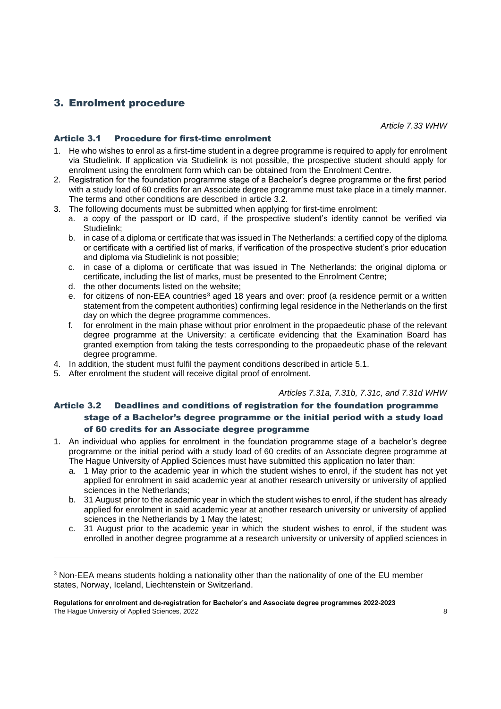# 3. Enrolment procedure

*Article 7.33 WHW*

# Article 3.1 Procedure for first-time enrolment

- 1. He who wishes to enrol as a first-time student in a degree programme is required to apply for enrolment via Studielink. If application via Studielink is not possible, the prospective student should apply for enrolment using the enrolment form which can be obtained from the Enrolment Centre.
- 2. Registration for the foundation programme stage of a Bachelor's degree programme or the first period with a study load of 60 credits for an Associate degree programme must take place in a timely manner. The terms and other conditions are described in article 3.2.
- 3. The following documents must be submitted when applying for first-time enrolment:
	- a. a copy of the passport or ID card, if the prospective student's identity cannot be verified via Studielink;
	- b. in case of a diploma or certificate that was issued in The Netherlands: a certified copy of the diploma or certificate with a certified list of marks, if verification of the prospective student's prior education and diploma via Studielink is not possible;
	- c. in case of a diploma or certificate that was issued in The Netherlands: the original diploma or certificate, including the list of marks, must be presented to the Enrolment Centre;
	- d. the other documents listed on the website;
	- e. for citizens of non-EEA countries<sup>3</sup> aged 18 years and over: proof (a residence permit or a written statement from the competent authorities) confirming legal residence in the Netherlands on the first day on which the degree programme commences.
	- f. for enrolment in the main phase without prior enrolment in the propaedeutic phase of the relevant degree programme at the University: a certificate evidencing that the Examination Board has granted exemption from taking the tests corresponding to the propaedeutic phase of the relevant degree programme.
- 4. In addition, the student must fulfil the payment conditions described in article 5.1.
- 5. After enrolment the student will receive digital proof of enrolment.

#### *Articles 7.31a, 7.31b, 7.31c, and 7.31d WHW*

# Article 3.2 Deadlines and conditions of registration for the foundation programme stage of a Bachelor's degree programme or the initial period with a study load of 60 credits for an Associate degree programme

- 1. An individual who applies for enrolment in the foundation programme stage of a bachelor's degree programme or the initial period with a study load of 60 credits of an Associate degree programme at The Hague University of Applied Sciences must have submitted this application no later than:
	- a. 1 May prior to the academic year in which the student wishes to enrol, if the student has not yet applied for enrolment in said academic year at another research university or university of applied sciences in the Netherlands;
	- b. 31 August prior to the academic year in which the student wishes to enrol, if the student has already applied for enrolment in said academic year at another research university or university of applied sciences in the Netherlands by 1 May the latest;
	- c. 31 August prior to the academic year in which the student wishes to enrol, if the student was enrolled in another degree programme at a research university or university of applied sciences in

<sup>&</sup>lt;sup>3</sup> Non-EEA means students holding a nationality other than the nationality of one of the EU member states, Norway, Iceland, Liechtenstein or Switzerland.

**Regulations for enrolment and de-registration for Bachelor's and Associate degree programmes 2022-2023** The Hague University of Applied Sciences, 2022 8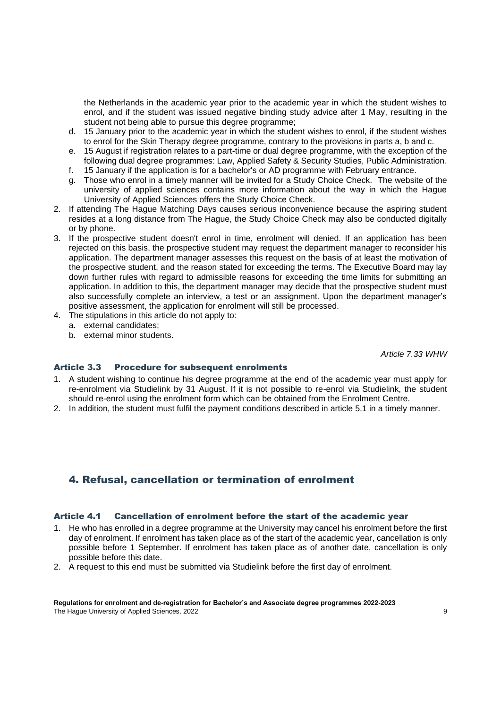the Netherlands in the academic year prior to the academic year in which the student wishes to enrol, and if the student was issued negative binding study advice after 1 May, resulting in the student not being able to pursue this degree programme;

- d. 15 January prior to the academic year in which the student wishes to enrol, if the student wishes to enrol for the Skin Therapy degree programme, contrary to the provisions in parts a, b and c.
- e. 15 August if registration relates to a part-time or dual degree programme, with the exception of the following dual degree programmes: Law, Applied Safety & Security Studies, Public Administration.
- f. 15 January if the application is for a bachelor's or AD programme with February entrance.
- g. Those who enrol in a timely manner will be invited for a Study Choice Check. The website of the university of applied sciences contains more information about the way in which the Hague University of Applied Sciences offers the Study Choice Check.
- 2. If attending The Hague Matching Days causes serious inconvenience because the aspiring student resides at a long distance from The Hague, the Study Choice Check may also be conducted digitally or by phone.
- 3. If the prospective student doesn't enrol in time, enrolment will denied. If an application has been rejected on this basis, the prospective student may request the department manager to reconsider his application. The department manager assesses this request on the basis of at least the motivation of the prospective student, and the reason stated for exceeding the terms. The Executive Board may lay down further rules with regard to admissible reasons for exceeding the time limits for submitting an application. In addition to this, the department manager may decide that the prospective student must also successfully complete an interview, a test or an assignment. Upon the department manager's positive assessment, the application for enrolment will still be processed.
- 4. The stipulations in this article do not apply to:
	- a. external candidates;
	- b. external minor students.

*Article 7.33 WHW*

#### Article 3.3 Procedure for subsequent enrolments

- 1. A student wishing to continue his degree programme at the end of the academic year must apply for re-enrolment via Studielink by 31 August. If it is not possible to re-enrol via Studielink, the student should re-enrol using the enrolment form which can be obtained from the Enrolment Centre.
- 2. In addition, the student must fulfil the payment conditions described in article 5.1 in a timely manner.

# 4. Refusal, cancellation or termination of enrolment

#### Article 4.1 Cancellation of enrolment before the start of the academic year

- 1. He who has enrolled in a degree programme at the University may cancel his enrolment before the first day of enrolment. If enrolment has taken place as of the start of the academic year, cancellation is only possible before 1 September. If enrolment has taken place as of another date, cancellation is only possible before this date.
- 2. A request to this end must be submitted via Studielink before the first day of enrolment.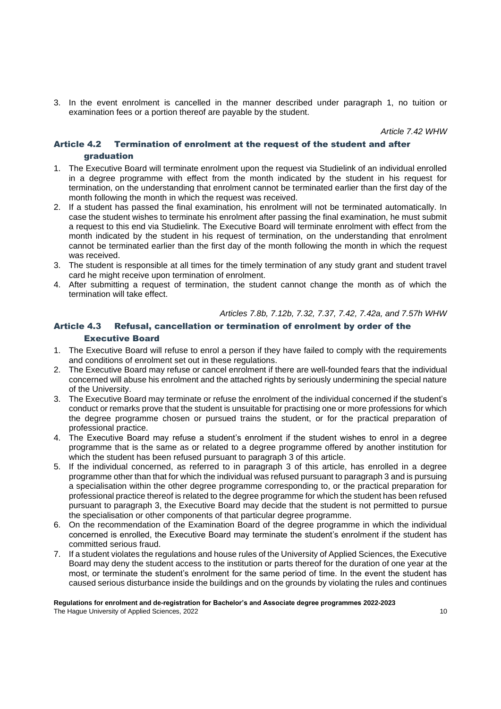3. In the event enrolment is cancelled in the manner described under paragraph 1, no tuition or examination fees or a portion thereof are payable by the student.

*Article 7.42 WHW*

# Article 4.2 Termination of enrolment at the request of the student and after graduation

- 1. The Executive Board will terminate enrolment upon the request via Studielink of an individual enrolled in a degree programme with effect from the month indicated by the student in his request for termination, on the understanding that enrolment cannot be terminated earlier than the first day of the month following the month in which the request was received.
- 2. If a student has passed the final examination, his enrolment will not be terminated automatically. In case the student wishes to terminate his enrolment after passing the final examination, he must submit a request to this end via Studielink. The Executive Board will terminate enrolment with effect from the month indicated by the student in his request of termination, on the understanding that enrolment cannot be terminated earlier than the first day of the month following the month in which the request was received.
- 3. The student is responsible at all times for the timely termination of any study grant and student travel card he might receive upon termination of enrolment.
- 4. After submitting a request of termination, the student cannot change the month as of which the termination will take effect.

#### *Articles 7.8b, 7.12b, 7.32, 7.37, 7.42, 7.42a, and 7.57h WHW*

# Article 4.3 Refusal, cancellation or termination of enrolment by order of the Executive Board

- 1. The Executive Board will refuse to enrol a person if they have failed to comply with the requirements and conditions of enrolment set out in these regulations.
- 2. The Executive Board may refuse or cancel enrolment if there are well-founded fears that the individual concerned will abuse his enrolment and the attached rights by seriously undermining the special nature of the University.
- 3. The Executive Board may terminate or refuse the enrolment of the individual concerned if the student's conduct or remarks prove that the student is unsuitable for practising one or more professions for which the degree programme chosen or pursued trains the student, or for the practical preparation of professional practice.
- 4. The Executive Board may refuse a student's enrolment if the student wishes to enrol in a degree programme that is the same as or related to a degree programme offered by another institution for which the student has been refused pursuant to paragraph 3 of this article.
- 5. If the individual concerned, as referred to in paragraph 3 of this article, has enrolled in a degree programme other than that for which the individual was refused pursuant to paragraph 3 and is pursuing a specialisation within the other degree programme corresponding to, or the practical preparation for professional practice thereof is related to the degree programme for which the student has been refused pursuant to paragraph 3, the Executive Board may decide that the student is not permitted to pursue the specialisation or other components of that particular degree programme.
- 6. On the recommendation of the Examination Board of the degree programme in which the individual concerned is enrolled, the Executive Board may terminate the student's enrolment if the student has committed serious fraud.
- 7. If a student violates the regulations and house rules of the University of Applied Sciences, the Executive Board may deny the student access to the institution or parts thereof for the duration of one year at the most, or terminate the student's enrolment for the same period of time. In the event the student has caused serious disturbance inside the buildings and on the grounds by violating the rules and continues

# **Regulations for enrolment and de-registration for Bachelor's and Associate degree programmes 2022-2023**

The Hague University of Applied Sciences, 2022 10 and the University of Applied Sciences, 2022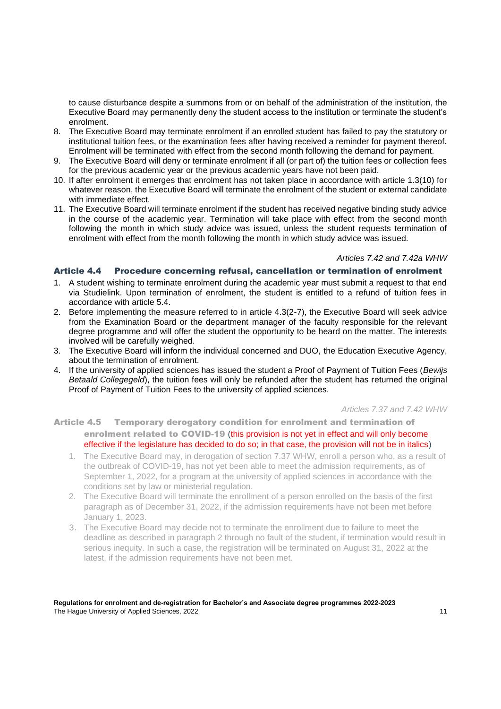to cause disturbance despite a summons from or on behalf of the administration of the institution, the Executive Board may permanently deny the student access to the institution or terminate the student's enrolment.

- 8. The Executive Board may terminate enrolment if an enrolled student has failed to pay the statutory or institutional tuition fees, or the examination fees after having received a reminder for payment thereof. Enrolment will be terminated with effect from the second month following the demand for payment.
- 9. The Executive Board will deny or terminate enrolment if all (or part of) the tuition fees or collection fees for the previous academic year or the previous academic years have not been paid.
- 10. If after enrolment it emerges that enrolment has not taken place in accordance with article 1.3(10) for whatever reason, the Executive Board will terminate the enrolment of the student or external candidate with immediate effect.
- 11. The Executive Board will terminate enrolment if the student has received negative binding study advice in the course of the academic year. Termination will take place with effect from the second month following the month in which study advice was issued, unless the student requests termination of enrolment with effect from the month following the month in which study advice was issued.

#### *Articles 7.42 and 7.42a WHW*

### Article 4.4 Procedure concerning refusal, cancellation or termination of enrolment

- 1. A student wishing to terminate enrolment during the academic year must submit a request to that end via Studielink. Upon termination of enrolment, the student is entitled to a refund of tuition fees in accordance with article 5.4.
- 2. Before implementing the measure referred to in article 4.3(2-7), the Executive Board will seek advice from the Examination Board or the department manager of the faculty responsible for the relevant degree programme and will offer the student the opportunity to be heard on the matter. The interests involved will be carefully weighed.
- 3. The Executive Board will inform the individual concerned and DUO, the Education Executive Agency, about the termination of enrolment.
- 4. If the university of applied sciences has issued the student a Proof of Payment of Tuition Fees (*Bewijs Betaald Collegegeld*), the tuition fees will only be refunded after the student has returned the original Proof of Payment of Tuition Fees to the university of applied sciences.

*Articles 7.37 and 7.42 WHW*

Article 4.5 Temporary derogatory condition for enrolment and termination of enrolment related to COVID-19 (this provision is not yet in effect and will only become effective if the legislature has decided to do so; in that case, the provision will not be in italics)

- 1. The Executive Board may, in derogation of section 7.37 WHW, enroll a person who, as a result of the outbreak of COVID-19, has not yet been able to meet the admission requirements, as of September 1, 2022, for a program at the university of applied sciences in accordance with the conditions set by law or ministerial regulation.
- 2. The Executive Board will terminate the enrollment of a person enrolled on the basis of the first paragraph as of December 31, 2022, if the admission requirements have not been met before January 1, 2023.
- 3. The Executive Board may decide not to terminate the enrollment due to failure to meet the deadline as described in paragraph 2 through no fault of the student, if termination would result in serious inequity. In such a case, the registration will be terminated on August 31, 2022 at the latest, if the admission requirements have not been met.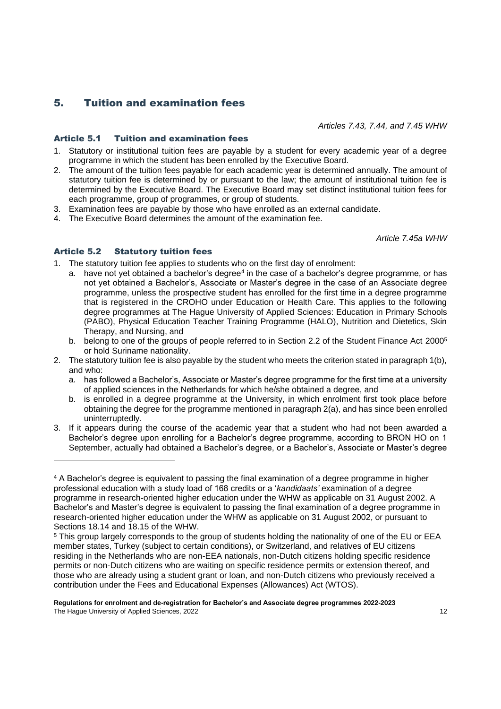# 5. Tuition and examination fees

*Articles 7.43, 7.44, and 7.45 WHW*

# Article 5.1 Tuition and examination fees

- 1. Statutory or institutional tuition fees are payable by a student for every academic year of a degree programme in which the student has been enrolled by the Executive Board.
- 2. The amount of the tuition fees payable for each academic year is determined annually. The amount of statutory tuition fee is determined by or pursuant to the law; the amount of institutional tuition fee is determined by the Executive Board. The Executive Board may set distinct institutional tuition fees for each programme, group of programmes, or group of students.
- 3. Examination fees are payable by those who have enrolled as an external candidate.
- 4. The Executive Board determines the amount of the examination fee.

*Article 7.45a WHW*

# Article 5.2 Statutory tuition fees

- 1. The statutory tuition fee applies to students who on the first day of enrolment:
	- a. have not yet obtained a bachelor's degree<sup>4</sup> in the case of a bachelor's degree programme, or has not yet obtained a Bachelor's, Associate or Master's degree in the case of an Associate degree programme, unless the prospective student has enrolled for the first time in a degree programme that is registered in the CROHO under Education or Health Care. This applies to the following degree programmes at The Hague University of Applied Sciences: Education in Primary Schools (PABO), Physical Education Teacher Training Programme (HALO), Nutrition and Dietetics, Skin Therapy, and Nursing, and
		- b. belong to one of the groups of people referred to in Section 2.2 of the Student Finance Act 2000<sup>5</sup> or hold Suriname nationality.
- 2. The statutory tuition fee is also payable by the student who meets the criterion stated in paragraph 1(b), and who:
	- a. has followed a Bachelor's, Associate or Master's degree programme for the first time at a university of applied sciences in the Netherlands for which he/she obtained a degree, and
	- b. is enrolled in a degree programme at the University, in which enrolment first took place before obtaining the degree for the programme mentioned in paragraph 2(a), and has since been enrolled uninterruptedly.
- 3. If it appears during the course of the academic year that a student who had not been awarded a Bachelor's degree upon enrolling for a Bachelor's degree programme, according to BRON HO on 1 September, actually had obtained a Bachelor's degree, or a Bachelor's, Associate or Master's degree

<sup>4</sup> A Bachelor's degree is equivalent to passing the final examination of a degree programme in higher professional education with a study load of 168 credits or a '*kandidaats'* examination of a degree programme in research-oriented higher education under the WHW as applicable on 31 August 2002. A Bachelor's and Master's degree is equivalent to passing the final examination of a degree programme in research-oriented higher education under the WHW as applicable on 31 August 2002, or pursuant to Sections 18.14 and 18.15 of the WHW.

<sup>5</sup> This group largely corresponds to the group of students holding the nationality of one of the EU or EEA member states, Turkey (subject to certain conditions), or Switzerland, and relatives of EU citizens residing in the Netherlands who are non-EEA nationals, non-Dutch citizens holding specific residence permits or non-Dutch citizens who are waiting on specific residence permits or extension thereof, and those who are already using a student grant or loan, and non-Dutch citizens who previously received a contribution under the Fees and Educational Expenses (Allowances) Act (WTOS).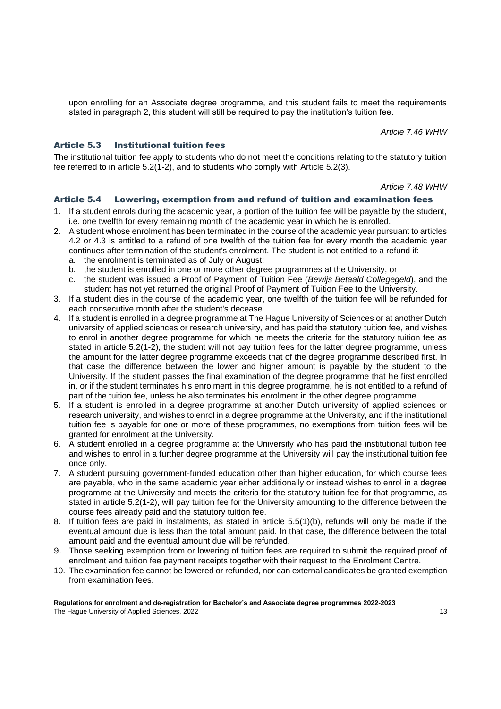upon enrolling for an Associate degree programme, and this student fails to meet the requirements stated in paragraph 2, this student will still be required to pay the institution's tuition fee.

*Article 7.46 WHW*

### Article 5.3 Institutional tuition fees

The institutional tuition fee apply to students who do not meet the conditions relating to the statutory tuition fee referred to in article 5.2(1-2), and to students who comply with Article 5.2(3).

*Article 7.48 WHW*

#### Article 5.4 Lowering, exemption from and refund of tuition and examination fees

- 1. If a student enrols during the academic year, a portion of the tuition fee will be payable by the student, i.e. one twelfth for every remaining month of the academic year in which he is enrolled.
- 2. A student whose enrolment has been terminated in the course of the academic year pursuant to articles 4.2 or 4.3 is entitled to a refund of one twelfth of the tuition fee for every month the academic year continues after termination of the student's enrolment. The student is not entitled to a refund if:
	- a. the enrolment is terminated as of July or August;
	- b. the student is enrolled in one or more other degree programmes at the University, or
	- c. the student was issued a Proof of Payment of Tuition Fee (*Bewijs Betaald Collegegeld*), and the student has not yet returned the original Proof of Payment of Tuition Fee to the University.
- 3. If a student dies in the course of the academic year, one twelfth of the tuition fee will be refunded for each consecutive month after the student's decease.
- 4. If a student is enrolled in a degree programme at The Hague University of Sciences or at another Dutch university of applied sciences or research university, and has paid the statutory tuition fee, and wishes to enrol in another degree programme for which he meets the criteria for the statutory tuition fee as stated in article 5.2(1-2), the student will not pay tuition fees for the latter degree programme, unless the amount for the latter degree programme exceeds that of the degree programme described first. In that case the difference between the lower and higher amount is payable by the student to the University. If the student passes the final examination of the degree programme that he first enrolled in, or if the student terminates his enrolment in this degree programme, he is not entitled to a refund of part of the tuition fee, unless he also terminates his enrolment in the other degree programme.
- 5. If a student is enrolled in a degree programme at another Dutch university of applied sciences or research university, and wishes to enrol in a degree programme at the University, and if the institutional tuition fee is payable for one or more of these programmes, no exemptions from tuition fees will be granted for enrolment at the University.
- 6. A student enrolled in a degree programme at the University who has paid the institutional tuition fee and wishes to enrol in a further degree programme at the University will pay the institutional tuition fee once only.
- 7. A student pursuing government-funded education other than higher education, for which course fees are payable, who in the same academic year either additionally or instead wishes to enrol in a degree programme at the University and meets the criteria for the statutory tuition fee for that programme, as stated in article 5.2(1-2), will pay tuition fee for the University amounting to the difference between the course fees already paid and the statutory tuition fee.
- 8. If tuition fees are paid in instalments, as stated in article 5.5(1)(b), refunds will only be made if the eventual amount due is less than the total amount paid. In that case, the difference between the total amount paid and the eventual amount due will be refunded.
- 9. Those seeking exemption from or lowering of tuition fees are required to submit the required proof of enrolment and tuition fee payment receipts together with their request to the Enrolment Centre.
- 10. The examination fee cannot be lowered or refunded, nor can external candidates be granted exemption from examination fees.

#### **Regulations for enrolment and de-registration for Bachelor's and Associate degree programmes 2022-2023** The Hague University of Applied Sciences, 2022 13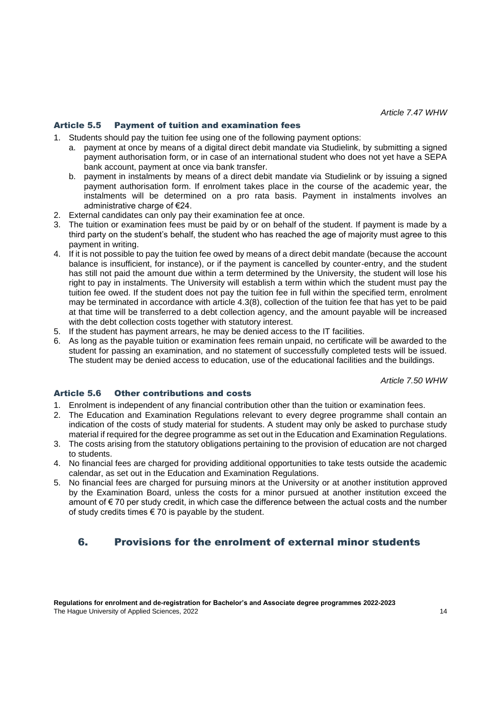## Article 5.5 Payment of tuition and examination fees

- 1. Students should pay the tuition fee using one of the following payment options:
	- a. payment at once by means of a digital direct debit mandate via Studielink, by submitting a signed payment authorisation form, or in case of an international student who does not yet have a SEPA bank account, payment at once via bank transfer.
	- b. payment in instalments by means of a direct debit mandate via Studielink or by issuing a signed payment authorisation form. If enrolment takes place in the course of the academic year, the instalments will be determined on a pro rata basis. Payment in instalments involves an administrative charge of €24.
- 2. External candidates can only pay their examination fee at once.
- 3. The tuition or examination fees must be paid by or on behalf of the student. If payment is made by a third party on the student's behalf, the student who has reached the age of majority must agree to this payment in writing.
- 4. If it is not possible to pay the tuition fee owed by means of a direct debit mandate (because the account balance is insufficient, for instance), or if the payment is cancelled by counter-entry, and the student has still not paid the amount due within a term determined by the University, the student will lose his right to pay in instalments. The University will establish a term within which the student must pay the tuition fee owed. If the student does not pay the tuition fee in full within the specified term, enrolment may be terminated in accordance with article 4.3(8), collection of the tuition fee that has yet to be paid at that time will be transferred to a debt collection agency, and the amount payable will be increased with the debt collection costs together with statutory interest.
- 5. If the student has payment arrears, he may be denied access to the IT facilities.
- 6. As long as the payable tuition or examination fees remain unpaid, no certificate will be awarded to the student for passing an examination, and no statement of successfully completed tests will be issued. The student may be denied access to education, use of the educational facilities and the buildings.

*Article 7.50 WHW*

# Article 5.6 Other contributions and costs

- 1. Enrolment is independent of any financial contribution other than the tuition or examination fees.
- 2. The Education and Examination Regulations relevant to every degree programme shall contain an indication of the costs of study material for students. A student may only be asked to purchase study material if required for the degree programme as set out in the Education and Examination Regulations.
- 3. The costs arising from the statutory obligations pertaining to the provision of education are not charged to students.
- 4. No financial fees are charged for providing additional opportunities to take tests outside the academic calendar, as set out in the Education and Examination Regulations.
- 5. No financial fees are charged for pursuing minors at the University or at another institution approved by the Examination Board, unless the costs for a minor pursued at another institution exceed the amount of € 70 per study credit, in which case the difference between the actual costs and the number of study credits times  $\epsilon$  70 is payable by the student.

# 6. Provisions for the enrolment of external minor students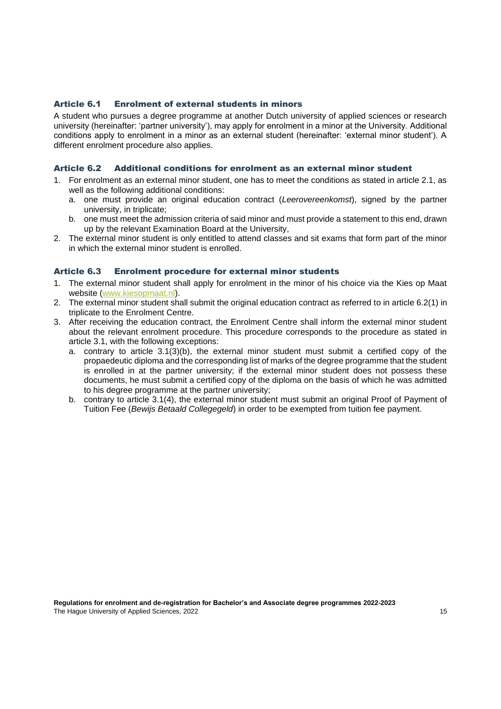#### Article 6.1 Enrolment of external students in minors

A student who pursues a degree programme at another Dutch university of applied sciences or research university (hereinafter: 'partner university'), may apply for enrolment in a minor at the University. Additional conditions apply to enrolment in a minor as an external student (hereinafter: 'external minor student'). A different enrolment procedure also applies.

#### Article 6.2 Additional conditions for enrolment as an external minor student

- 1. For enrolment as an external minor student, one has to meet the conditions as stated in article 2.1, as well as the following additional conditions:
	- a. one must provide an original education contract (*Leerovereenkomst*), signed by the partner university, in triplicate;
	- b. one must meet the admission criteria of said minor and must provide a statement to this end, drawn up by the relevant Examination Board at the University,
- 2. The external minor student is only entitled to attend classes and sit exams that form part of the minor in which the external minor student is enrolled.

#### Article 6.3 Enrolment procedure for external minor students

- 1. The external minor student shall apply for enrolment in the minor of his choice via the Kies op Maat website [\(www.kiesopmaat.nl\)](http://www.kiesopmaat.nl/).
- 2. The external minor student shall submit the original education contract as referred to in article 6.2(1) in triplicate to the Enrolment Centre.
- 3. After receiving the education contract, the Enrolment Centre shall inform the external minor student about the relevant enrolment procedure. This procedure corresponds to the procedure as stated in article 3.1, with the following exceptions:
	- a. contrary to article 3.1(3)(b), the external minor student must submit a certified copy of the propaedeutic diploma and the corresponding list of marks of the degree programme that the student is enrolled in at the partner university; if the external minor student does not possess these documents, he must submit a certified copy of the diploma on the basis of which he was admitted to his degree programme at the partner university;
	- b. contrary to article 3.1(4), the external minor student must submit an original Proof of Payment of Tuition Fee (*Bewijs Betaald Collegegeld*) in order to be exempted from tuition fee payment.